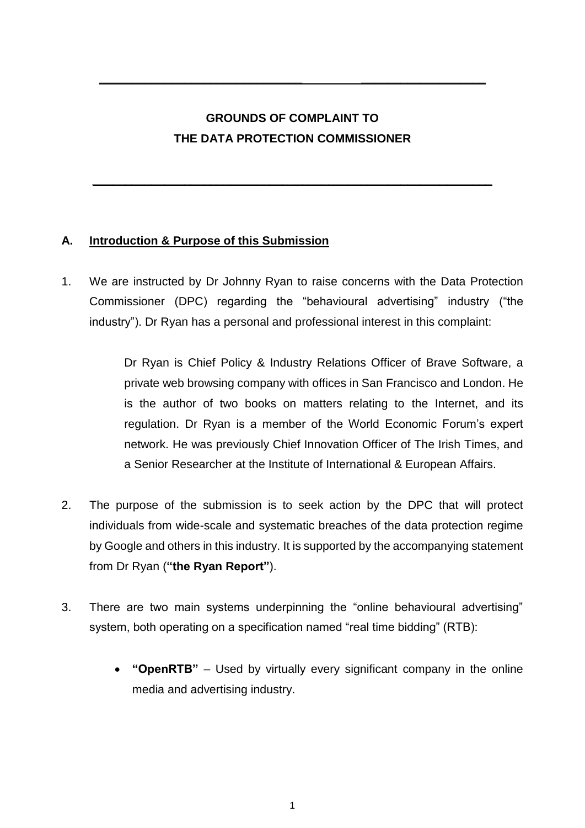# **GROUNDS OF COMPLAINT TO THE DATA PROTECTION COMMISSIONER**

**\_\_\_\_\_\_\_\_\_\_\_\_\_\_\_\_\_\_\_\_\_\_\_\_\_\_\_\_\_\_\_\_\_\_\_\_\_\_\_\_\_\_\_\_\_\_\_\_\_\_\_\_\_\_\_\_\_\_\_\_\_**

**\_\_\_\_\_\_\_\_\_\_\_\_\_\_\_\_\_\_\_\_\_\_\_\_\_\_\_\_\_\_\_ \_\_\_\_\_\_\_\_\_\_\_\_\_\_\_\_\_\_\_**

# **A. Introduction & Purpose of this Submission**

1. We are instructed by Dr Johnny Ryan to raise concerns with the Data Protection Commissioner (DPC) regarding the "behavioural advertising" industry ("the industry"). Dr Ryan has a personal and professional interest in this complaint:

> Dr Ryan is Chief Policy & Industry Relations Officer of Brave Software, a private web browsing company with offices in San Francisco and London. He is the author of two books on matters relating to the Internet, and its regulation. Dr Ryan is a member of the World Economic Forum's expert network. He was previously Chief Innovation Officer of The Irish Times, and a Senior Researcher at the Institute of International & European Affairs.

- 2. The purpose of the submission is to seek action by the DPC that will protect individuals from wide-scale and systematic breaches of the data protection regime by Google and others in this industry. It is supported by the accompanying statement from Dr Ryan (**"the Ryan Report"**).
- 3. There are two main systems underpinning the "online behavioural advertising" system, both operating on a specification named "real time bidding" (RTB):
	- **"OpenRTB"**  Used by virtually every significant company in the online media and advertising industry.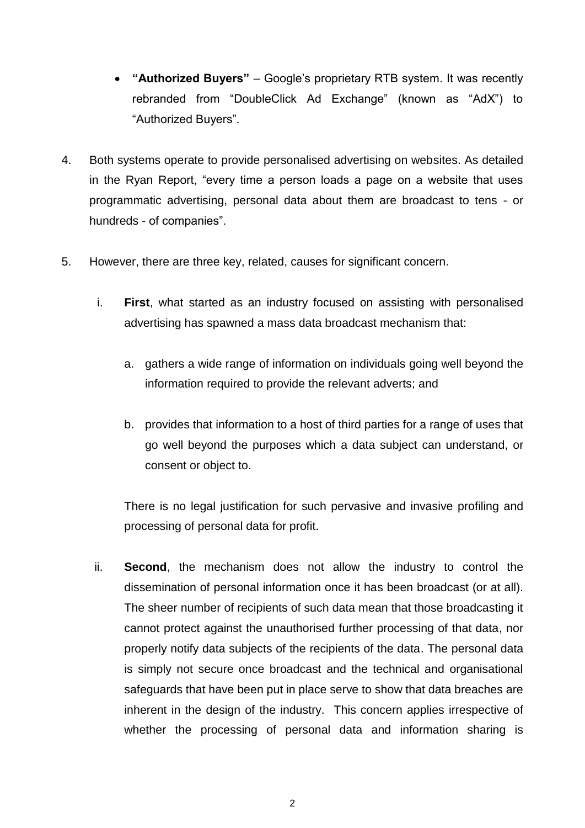- **"Authorized Buyers"** Google's proprietary RTB system. It was recently rebranded from "DoubleClick Ad Exchange" (known as "AdX") to "Authorized Buyers".
- 4. Both systems operate to provide personalised advertising on websites. As detailed in the Ryan Report, "every time a person loads a page on a website that uses programmatic advertising, personal data about them are broadcast to tens - or hundreds - of companies".
- 5. However, there are three key, related, causes for significant concern.
	- i. **First**, what started as an industry focused on assisting with personalised advertising has spawned a mass data broadcast mechanism that:
		- a. gathers a wide range of information on individuals going well beyond the information required to provide the relevant adverts; and
		- b. provides that information to a host of third parties for a range of uses that go well beyond the purposes which a data subject can understand, or consent or object to.

There is no legal justification for such pervasive and invasive profiling and processing of personal data for profit.

ii. **Second**, the mechanism does not allow the industry to control the dissemination of personal information once it has been broadcast (or at all). The sheer number of recipients of such data mean that those broadcasting it cannot protect against the unauthorised further processing of that data, nor properly notify data subjects of the recipients of the data. The personal data is simply not secure once broadcast and the technical and organisational safeguards that have been put in place serve to show that data breaches are inherent in the design of the industry. This concern applies irrespective of whether the processing of personal data and information sharing is

2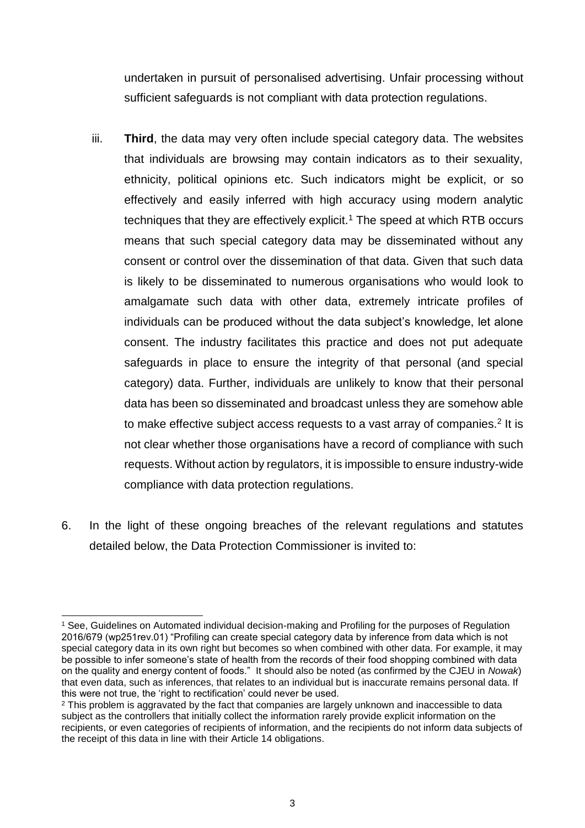undertaken in pursuit of personalised advertising. Unfair processing without sufficient safeguards is not compliant with data protection regulations.

- iii. **Third**, the data may very often include special category data. The websites that individuals are browsing may contain indicators as to their sexuality, ethnicity, political opinions etc. Such indicators might be explicit, or so effectively and easily inferred with high accuracy using modern analytic techniques that they are effectively explicit. <sup>1</sup> The speed at which RTB occurs means that such special category data may be disseminated without any consent or control over the dissemination of that data. Given that such data is likely to be disseminated to numerous organisations who would look to amalgamate such data with other data, extremely intricate profiles of individuals can be produced without the data subject's knowledge, let alone consent. The industry facilitates this practice and does not put adequate safeguards in place to ensure the integrity of that personal (and special category) data. Further, individuals are unlikely to know that their personal data has been so disseminated and broadcast unless they are somehow able to make effective subject access requests to a vast array of companies.<sup>2</sup> It is not clear whether those organisations have a record of compliance with such requests. Without action by regulators, it is impossible to ensure industry-wide compliance with data protection regulations.
- 6. In the light of these ongoing breaches of the relevant regulations and statutes detailed below, the Data Protection Commissioner is invited to:

1

<sup>1</sup> See, Guidelines on Automated individual decision-making and Profiling for the purposes of Regulation 2016/679 (wp251rev.01) "Profiling can create special category data by inference from data which is not special category data in its own right but becomes so when combined with other data. For example, it may be possible to infer someone's state of health from the records of their food shopping combined with data on the quality and energy content of foods." It should also be noted (as confirmed by the CJEU in *Nowak*) that even data, such as inferences, that relates to an individual but is inaccurate remains personal data. If this were not true, the 'right to rectification' could never be used.

 $2$  This problem is aggravated by the fact that companies are largely unknown and inaccessible to data subject as the controllers that initially collect the information rarely provide explicit information on the recipients, or even categories of recipients of information, and the recipients do not inform data subjects of the receipt of this data in line with their Article 14 obligations.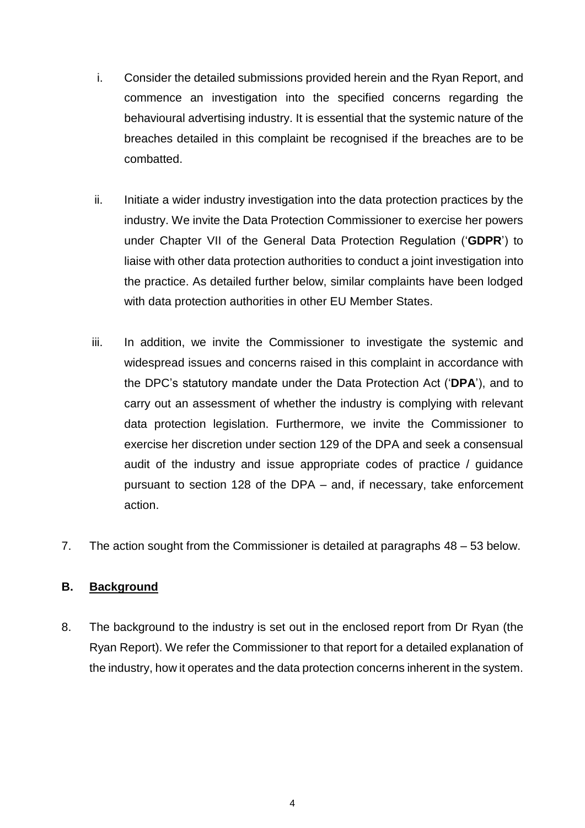- i. Consider the detailed submissions provided herein and the Ryan Report, and commence an investigation into the specified concerns regarding the behavioural advertising industry. It is essential that the systemic nature of the breaches detailed in this complaint be recognised if the breaches are to be combatted.
- ii. Initiate a wider industry investigation into the data protection practices by the industry. We invite the Data Protection Commissioner to exercise her powers under Chapter VII of the General Data Protection Regulation ('**GDPR**') to liaise with other data protection authorities to conduct a joint investigation into the practice. As detailed further below, similar complaints have been lodged with data protection authorities in other EU Member States.
- iii. In addition, we invite the Commissioner to investigate the systemic and widespread issues and concerns raised in this complaint in accordance with the DPC's statutory mandate under the Data Protection Act ('**DPA**'), and to carry out an assessment of whether the industry is complying with relevant data protection legislation. Furthermore, we invite the Commissioner to exercise her discretion under section 129 of the DPA and seek a consensual audit of the industry and issue appropriate codes of practice / guidance pursuant to section 128 of the DPA – and, if necessary, take enforcement action.
- 7. The action sought from the Commissioner is detailed at paragraphs 48 53 below.

#### **B. Background**

8. The background to the industry is set out in the enclosed report from Dr Ryan (the Ryan Report). We refer the Commissioner to that report for a detailed explanation of the industry, how it operates and the data protection concerns inherent in the system.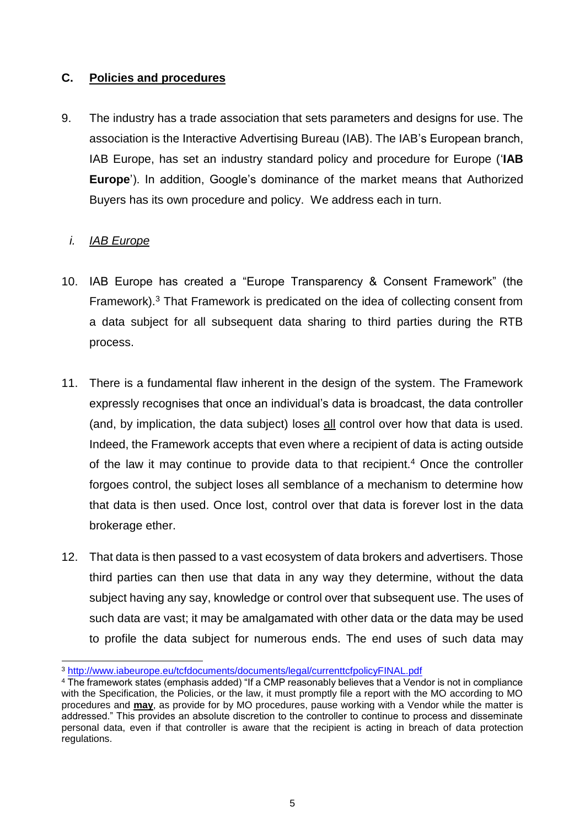#### **C. Policies and procedures**

9. The industry has a trade association that sets parameters and designs for use. The association is the Interactive Advertising Bureau (IAB). The IAB's European branch, IAB Europe, has set an industry standard policy and procedure for Europe ('**IAB Europe**'). In addition, Google's dominance of the market means that Authorized Buyers has its own procedure and policy. We address each in turn.

#### *i. IAB Europe*

- 10. IAB Europe has created a "Europe Transparency & Consent Framework" (the Framework).<sup>3</sup> That Framework is predicated on the idea of collecting consent from a data subject for all subsequent data sharing to third parties during the RTB process.
- 11. There is a fundamental flaw inherent in the design of the system. The Framework expressly recognises that once an individual's data is broadcast, the data controller (and, by implication, the data subject) loses all control over how that data is used. Indeed, the Framework accepts that even where a recipient of data is acting outside of the law it may continue to provide data to that recipient.<sup>4</sup> Once the controller forgoes control, the subject loses all semblance of a mechanism to determine how that data is then used. Once lost, control over that data is forever lost in the data brokerage ether.
- 12. That data is then passed to a vast ecosystem of data brokers and advertisers. Those third parties can then use that data in any way they determine, without the data subject having any say, knowledge or control over that subsequent use. The uses of such data are vast; it may be amalgamated with other data or the data may be used to profile the data subject for numerous ends. The end uses of such data may

<sup>3</sup> <http://www.iabeurope.eu/tcfdocuments/documents/legal/currenttcfpolicyFINAL.pdf>

<sup>4</sup> The framework states (emphasis added) "If a CMP reasonably believes that a Vendor is not in compliance with the Specification, the Policies, or the law, it must promptly file a report with the MO according to MO procedures and **may**, as provide for by MO procedures, pause working with a Vendor while the matter is addressed." This provides an absolute discretion to the controller to continue to process and disseminate personal data, even if that controller is aware that the recipient is acting in breach of data protection regulations.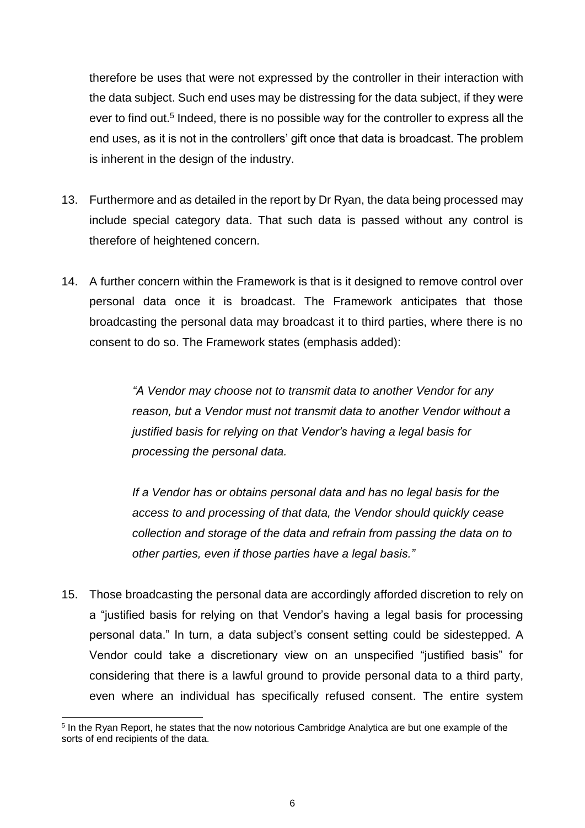therefore be uses that were not expressed by the controller in their interaction with the data subject. Such end uses may be distressing for the data subject, if they were ever to find out.<sup>5</sup> Indeed, there is no possible way for the controller to express all the end uses, as it is not in the controllers' gift once that data is broadcast. The problem is inherent in the design of the industry.

- 13. Furthermore and as detailed in the report by Dr Ryan, the data being processed may include special category data. That such data is passed without any control is therefore of heightened concern.
- 14. A further concern within the Framework is that is it designed to remove control over personal data once it is broadcast. The Framework anticipates that those broadcasting the personal data may broadcast it to third parties, where there is no consent to do so. The Framework states (emphasis added):

*"A Vendor may choose not to transmit data to another Vendor for any reason, but a Vendor must not transmit data to another Vendor without a justified basis for relying on that Vendor's having a legal basis for processing the personal data.*

*If a Vendor has or obtains personal data and has no legal basis for the access to and processing of that data, the Vendor should quickly cease collection and storage of the data and refrain from passing the data on to other parties, even if those parties have a legal basis."*

15. Those broadcasting the personal data are accordingly afforded discretion to rely on a "justified basis for relying on that Vendor's having a legal basis for processing personal data." In turn, a data subject's consent setting could be sidestepped. A Vendor could take a discretionary view on an unspecified "justified basis" for considering that there is a lawful ground to provide personal data to a third party, even where an individual has specifically refused consent. The entire system

<sup>1</sup> <sup>5</sup> In the Ryan Report, he states that the now notorious Cambridge Analytica are but one example of the sorts of end recipients of the data.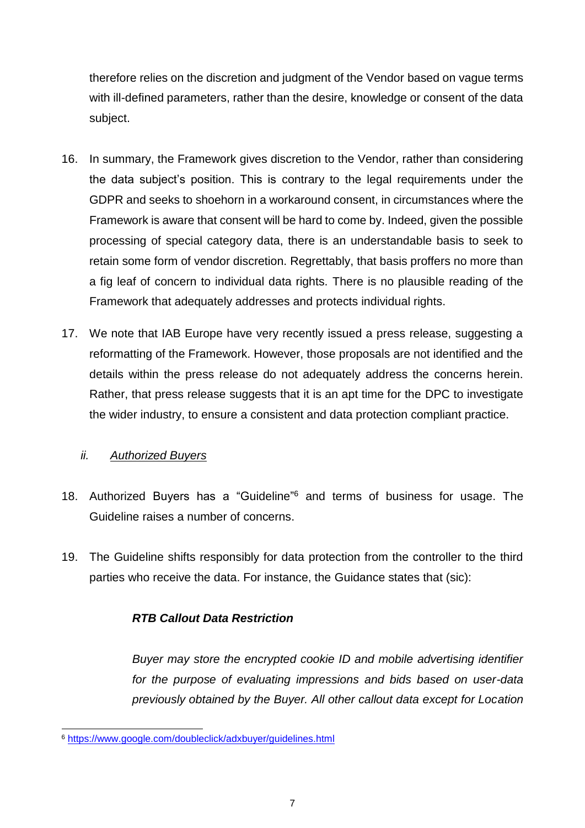therefore relies on the discretion and judgment of the Vendor based on vague terms with ill-defined parameters, rather than the desire, knowledge or consent of the data subject.

- 16. In summary, the Framework gives discretion to the Vendor, rather than considering the data subject's position. This is contrary to the legal requirements under the GDPR and seeks to shoehorn in a workaround consent, in circumstances where the Framework is aware that consent will be hard to come by. Indeed, given the possible processing of special category data, there is an understandable basis to seek to retain some form of vendor discretion. Regrettably, that basis proffers no more than a fig leaf of concern to individual data rights. There is no plausible reading of the Framework that adequately addresses and protects individual rights.
- 17. We note that IAB Europe have very recently issued a press release, suggesting a reformatting of the Framework. However, those proposals are not identified and the details within the press release do not adequately address the concerns herein. Rather, that press release suggests that it is an apt time for the DPC to investigate the wider industry, to ensure a consistent and data protection compliant practice.

#### *ii. Authorized Buyers*

-

- 18. Authorized Buyers has a "Guideline" <sup>6</sup> and terms of business for usage. The Guideline raises a number of concerns.
- 19. The Guideline shifts responsibly for data protection from the controller to the third parties who receive the data. For instance, the Guidance states that (sic):

#### *RTB Callout Data Restriction*

*Buyer may store the encrypted cookie ID and mobile advertising identifier for the purpose of evaluating impressions and bids based on user-data previously obtained by the Buyer. All other callout data except for Location* 

<sup>6</sup> <https://www.google.com/doubleclick/adxbuyer/guidelines.html>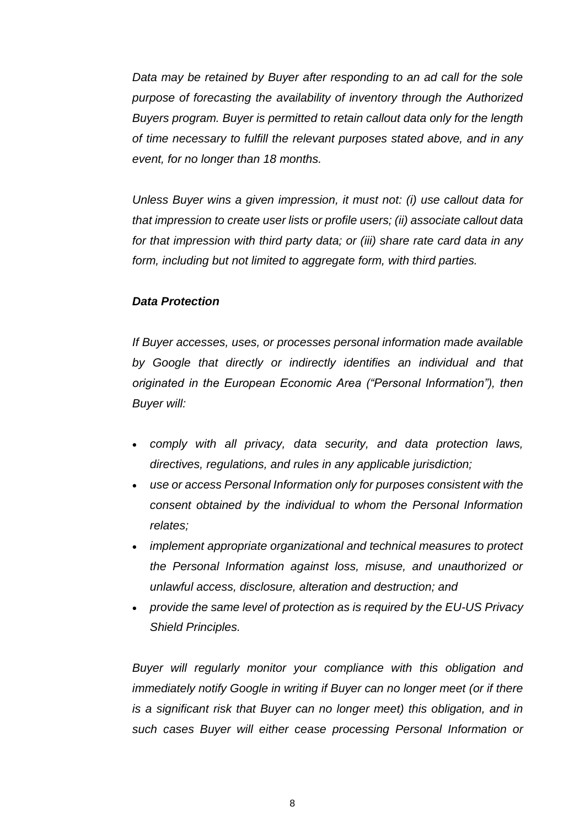*Data may be retained by Buyer after responding to an ad call for the sole purpose of forecasting the availability of inventory through the Authorized Buyers program. Buyer is permitted to retain callout data only for the length of time necessary to fulfill the relevant purposes stated above, and in any event, for no longer than 18 months.* 

*Unless Buyer wins a given impression, it must not: (i) use callout data for that impression to create user lists or profile users; (ii) associate callout data for that impression with third party data; or (iii) share rate card data in any form, including but not limited to aggregate form, with third parties.*

#### *Data Protection*

*If Buyer accesses, uses, or processes personal information made available by Google that directly or indirectly identifies an individual and that originated in the European Economic Area ("Personal Information"), then Buyer will:* 

- *comply with all privacy, data security, and data protection laws, directives, regulations, and rules in any applicable jurisdiction;*
- *use or access Personal Information only for purposes consistent with the consent obtained by the individual to whom the Personal Information relates;*
- *implement appropriate organizational and technical measures to protect the Personal Information against loss, misuse, and unauthorized or unlawful access, disclosure, alteration and destruction; and*
- *provide the same level of protection as is required by the EU-US Privacy Shield Principles.*

*Buyer will regularly monitor your compliance with this obligation and immediately notify Google in writing if Buyer can no longer meet (or if there is a significant risk that Buyer can no longer meet) this obligation, and in such cases Buyer will either cease processing Personal Information or*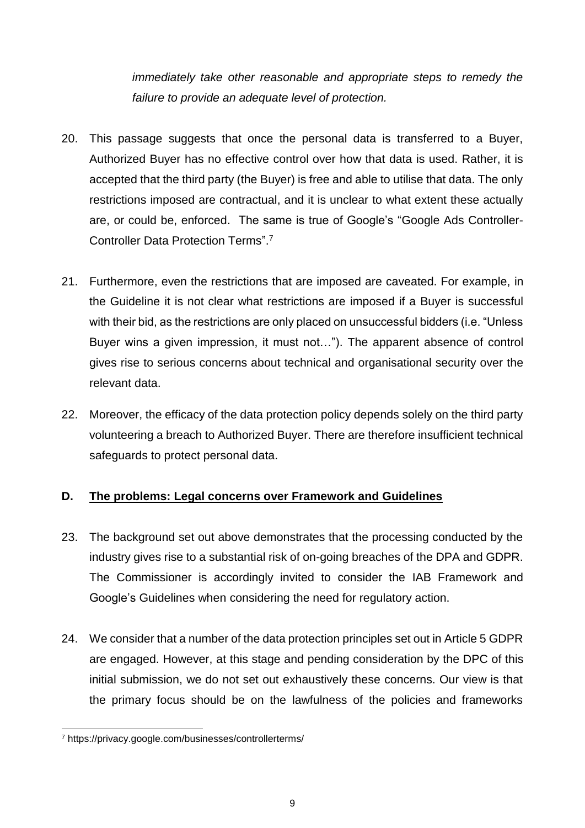*immediately take other reasonable and appropriate steps to remedy the failure to provide an adequate level of protection.* 

- 20. This passage suggests that once the personal data is transferred to a Buyer, Authorized Buyer has no effective control over how that data is used. Rather, it is accepted that the third party (the Buyer) is free and able to utilise that data. The only restrictions imposed are contractual, and it is unclear to what extent these actually are, or could be, enforced. The same is true of Google's "Google Ads Controller-Controller Data Protection Terms".<sup>7</sup>
- 21. Furthermore, even the restrictions that are imposed are caveated. For example, in the Guideline it is not clear what restrictions are imposed if a Buyer is successful with their bid, as the restrictions are only placed on unsuccessful bidders (i.e. "Unless Buyer wins a given impression, it must not…"). The apparent absence of control gives rise to serious concerns about technical and organisational security over the relevant data.
- 22. Moreover, the efficacy of the data protection policy depends solely on the third party volunteering a breach to Authorized Buyer. There are therefore insufficient technical safeguards to protect personal data.

#### **D. The problems: Legal concerns over Framework and Guidelines**

- 23. The background set out above demonstrates that the processing conducted by the industry gives rise to a substantial risk of on-going breaches of the DPA and GDPR. The Commissioner is accordingly invited to consider the IAB Framework and Google's Guidelines when considering the need for regulatory action.
- 24. We consider that a number of the data protection principles set out in Article 5 GDPR are engaged. However, at this stage and pending consideration by the DPC of this initial submission, we do not set out exhaustively these concerns. Our view is that the primary focus should be on the lawfulness of the policies and frameworks

<sup>7</sup> https://privacy.google.com/businesses/controllerterms/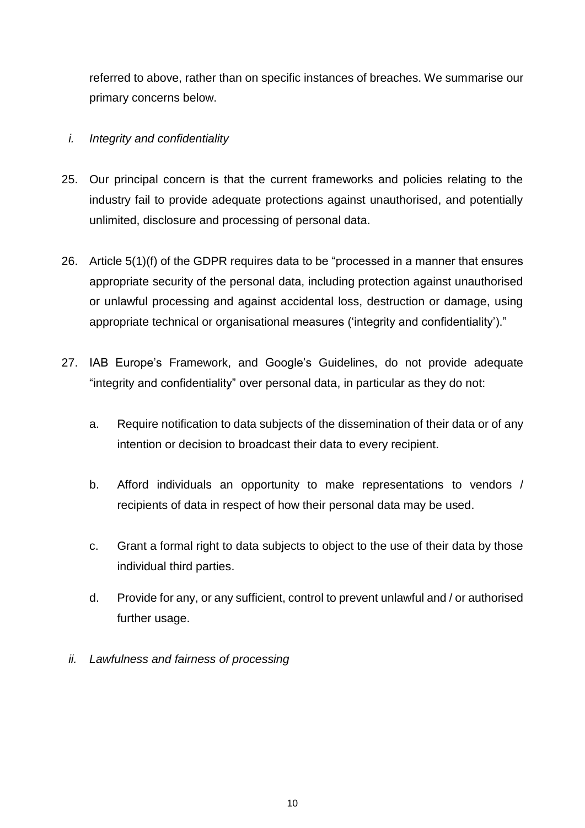referred to above, rather than on specific instances of breaches. We summarise our primary concerns below.

### *i. Integrity and confidentiality*

- 25. Our principal concern is that the current frameworks and policies relating to the industry fail to provide adequate protections against unauthorised, and potentially unlimited, disclosure and processing of personal data.
- 26. Article 5(1)(f) of the GDPR requires data to be "processed in a manner that ensures appropriate security of the personal data, including protection against unauthorised or unlawful processing and against accidental loss, destruction or damage, using appropriate technical or organisational measures ('integrity and confidentiality')."
- 27. IAB Europe's Framework, and Google's Guidelines, do not provide adequate "integrity and confidentiality" over personal data, in particular as they do not:
	- a. Require notification to data subjects of the dissemination of their data or of any intention or decision to broadcast their data to every recipient.
	- b. Afford individuals an opportunity to make representations to vendors / recipients of data in respect of how their personal data may be used.
	- c. Grant a formal right to data subjects to object to the use of their data by those individual third parties.
	- d. Provide for any, or any sufficient, control to prevent unlawful and / or authorised further usage.
	- *ii. Lawfulness and fairness of processing*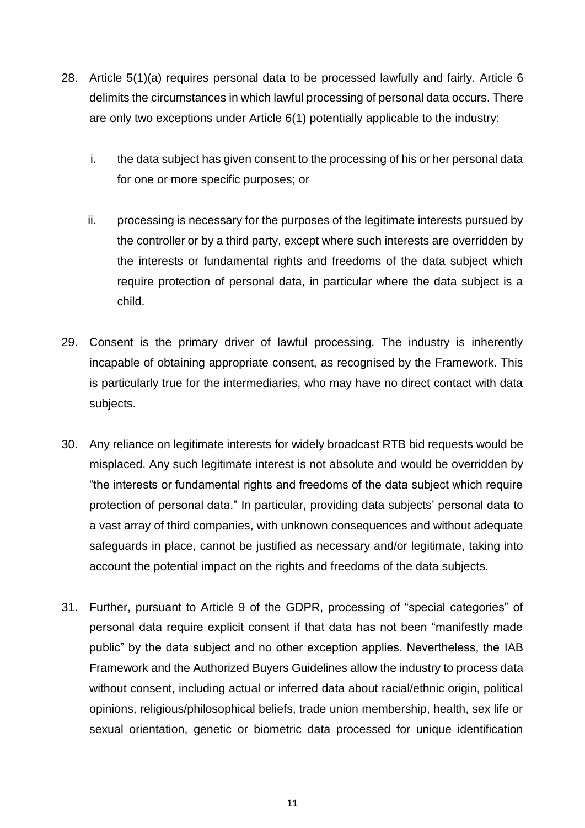- 28. Article 5(1)(a) requires personal data to be processed lawfully and fairly. Article 6 delimits the circumstances in which lawful processing of personal data occurs. There are only two exceptions under Article 6(1) potentially applicable to the industry:
	- i. the data subject has given consent to the processing of his or her personal data for one or more specific purposes; or
	- ii. processing is necessary for the purposes of the legitimate interests pursued by the controller or by a third party, except where such interests are overridden by the interests or fundamental rights and freedoms of the data subject which require protection of personal data, in particular where the data subject is a child.
- 29. Consent is the primary driver of lawful processing. The industry is inherently incapable of obtaining appropriate consent, as recognised by the Framework. This is particularly true for the intermediaries, who may have no direct contact with data subjects.
- 30. Any reliance on legitimate interests for widely broadcast RTB bid requests would be misplaced. Any such legitimate interest is not absolute and would be overridden by "the interests or fundamental rights and freedoms of the data subject which require protection of personal data." In particular, providing data subjects' personal data to a vast array of third companies, with unknown consequences and without adequate safeguards in place, cannot be justified as necessary and/or legitimate, taking into account the potential impact on the rights and freedoms of the data subjects.
- 31. Further, pursuant to Article 9 of the GDPR, processing of "special categories" of personal data require explicit consent if that data has not been "manifestly made public" by the data subject and no other exception applies. Nevertheless, the IAB Framework and the Authorized Buyers Guidelines allow the industry to process data without consent, including actual or inferred data about racial/ethnic origin, political opinions, religious/philosophical beliefs, trade union membership, health, sex life or sexual orientation, genetic or biometric data processed for unique identification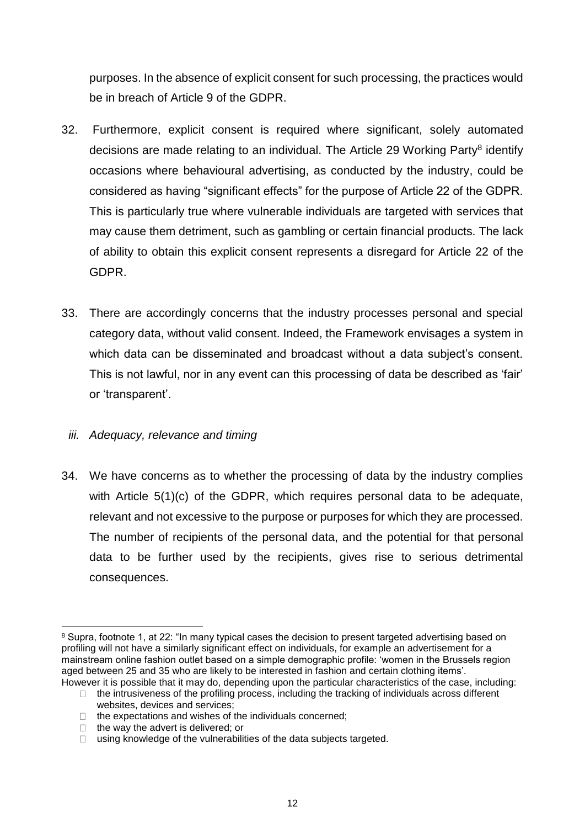purposes. In the absence of explicit consent for such processing, the practices would be in breach of Article 9 of the GDPR.

- 32. Furthermore, explicit consent is required where significant, solely automated decisions are made relating to an individual. The Article 29 Working Party<sup>8</sup> identify occasions where behavioural advertising, as conducted by the industry, could be considered as having "significant effects" for the purpose of Article 22 of the GDPR. This is particularly true where vulnerable individuals are targeted with services that may cause them detriment, such as gambling or certain financial products. The lack of ability to obtain this explicit consent represents a disregard for Article 22 of the GDPR.
- 33. There are accordingly concerns that the industry processes personal and special category data, without valid consent. Indeed, the Framework envisages a system in which data can be disseminated and broadcast without a data subject's consent. This is not lawful, nor in any event can this processing of data be described as 'fair' or 'transparent'.

#### *iii. Adequacy, relevance and timing*

34. We have concerns as to whether the processing of data by the industry complies with Article 5(1)(c) of the GDPR, which requires personal data to be adequate, relevant and not excessive to the purpose or purposes for which they are processed. The number of recipients of the personal data, and the potential for that personal data to be further used by the recipients, gives rise to serious detrimental consequences.

<sup>&</sup>lt;sup>8</sup> Supra, footnote 1, at 22: "In many typical cases the decision to present targeted advertising based on profiling will not have a similarly significant effect on individuals, for example an advertisement for a mainstream online fashion outlet based on a simple demographic profile: 'women in the Brussels region aged between 25 and 35 who are likely to be interested in fashion and certain clothing items'. However it is possible that it may do, depending upon the particular characteristics of the case, including:

 $\Box$  the intrusiveness of the profiling process, including the tracking of individuals across different websites, devices and services;

 $\Box$  the expectations and wishes of the individuals concerned;

 $\Box$  the way the advert is delivered; or

 $\Box$  using knowledge of the vulnerabilities of the data subjects targeted.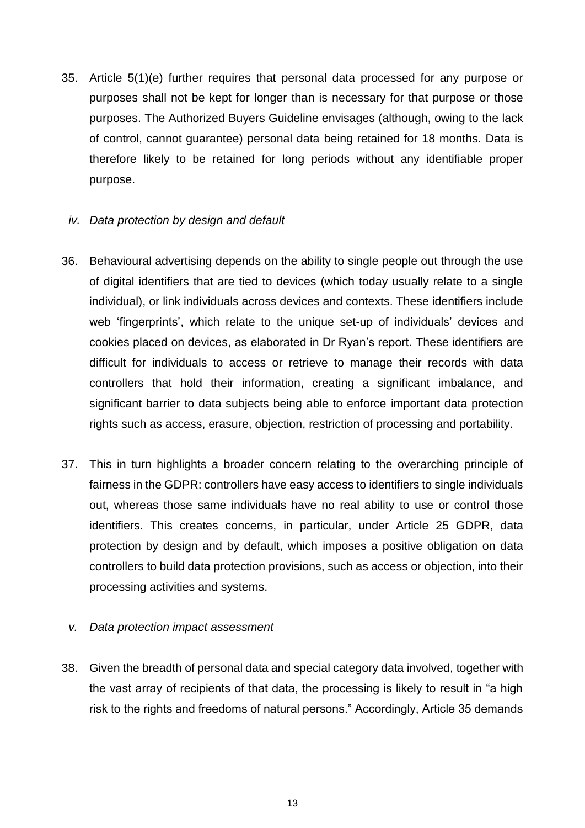- 35. Article 5(1)(e) further requires that personal data processed for any purpose or purposes shall not be kept for longer than is necessary for that purpose or those purposes. The Authorized Buyers Guideline envisages (although, owing to the lack of control, cannot guarantee) personal data being retained for 18 months. Data is therefore likely to be retained for long periods without any identifiable proper purpose.
	- *iv. Data protection by design and default*
- 36. Behavioural advertising depends on the ability to single people out through the use of digital identifiers that are tied to devices (which today usually relate to a single individual), or link individuals across devices and contexts. These identifiers include web 'fingerprints', which relate to the unique set-up of individuals' devices and cookies placed on devices, as elaborated in Dr Ryan's report. These identifiers are difficult for individuals to access or retrieve to manage their records with data controllers that hold their information, creating a significant imbalance, and significant barrier to data subjects being able to enforce important data protection rights such as access, erasure, objection, restriction of processing and portability.
- 37. This in turn highlights a broader concern relating to the overarching principle of fairness in the GDPR: controllers have easy access to identifiers to single individuals out, whereas those same individuals have no real ability to use or control those identifiers. This creates concerns, in particular, under Article 25 GDPR, data protection by design and by default, which imposes a positive obligation on data controllers to build data protection provisions, such as access or objection, into their processing activities and systems.
- *v. Data protection impact assessment*
- 38. Given the breadth of personal data and special category data involved, together with the vast array of recipients of that data, the processing is likely to result in "a high risk to the rights and freedoms of natural persons." Accordingly, Article 35 demands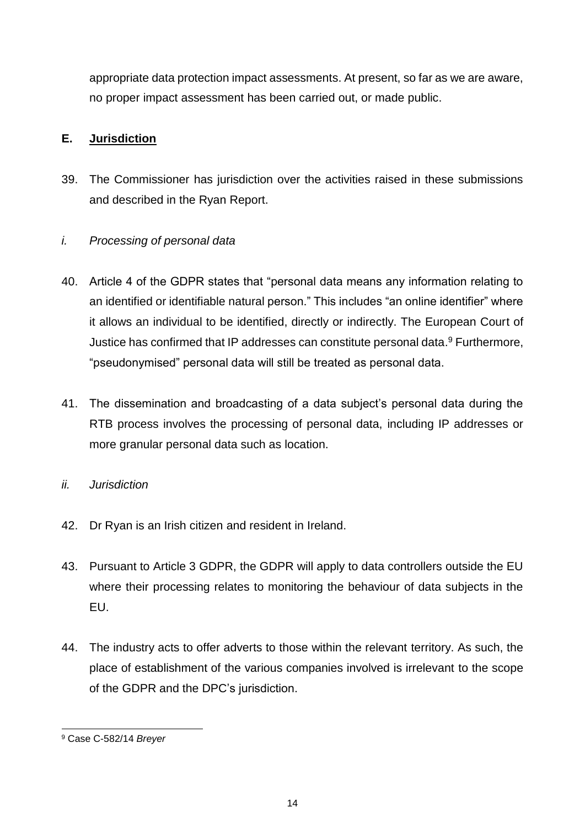appropriate data protection impact assessments. At present, so far as we are aware, no proper impact assessment has been carried out, or made public.

# **E. Jurisdiction**

39. The Commissioner has jurisdiction over the activities raised in these submissions and described in the Ryan Report.

# *i. Processing of personal data*

- 40. Article 4 of the GDPR states that "personal data means any information relating to an identified or identifiable natural person." This includes "an online identifier" where it allows an individual to be identified, directly or indirectly. The European Court of Justice has confirmed that IP addresses can constitute personal data. <sup>9</sup> Furthermore, "pseudonymised" personal data will still be treated as personal data.
- 41. The dissemination and broadcasting of a data subject's personal data during the RTB process involves the processing of personal data, including IP addresses or more granular personal data such as location.
- *ii. Jurisdiction*
- 42. Dr Ryan is an Irish citizen and resident in Ireland.
- 43. Pursuant to Article 3 GDPR, the GDPR will apply to data controllers outside the EU where their processing relates to monitoring the behaviour of data subjects in the EU.
- 44. The industry acts to offer adverts to those within the relevant territory. As such, the place of establishment of the various companies involved is irrelevant to the scope of the GDPR and the DPC's jurisdiction.

<sup>9</sup> Case C-582/14 *Breyer*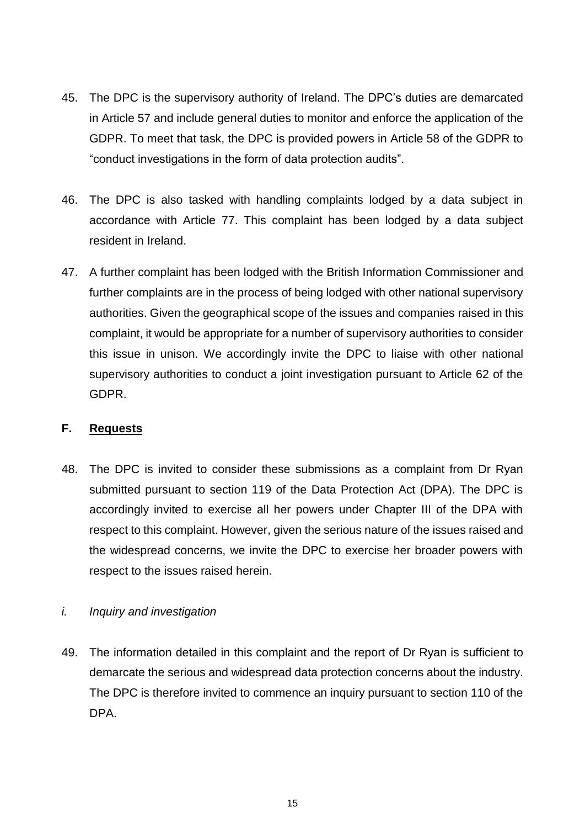- 45. The DPC is the supervisory authority of Ireland. The DPC's duties are demarcated in Article 57 and include general duties to monitor and enforce the application of the GDPR. To meet that task, the DPC is provided powers in Article 58 of the GDPR to "conduct investigations in the form of data protection audits".
- 46. The DPC is also tasked with handling complaints lodged by a data subject in accordance with Article 77. This complaint has been lodged by a data subject resident in Ireland.
- 47. A further complaint has been lodged with the British Information Commissioner and further complaints are in the process of being lodged with other national supervisory authorities. Given the geographical scope of the issues and companies raised in this complaint, it would be appropriate for a number of supervisory authorities to consider this issue in unison. We accordingly invite the DPC to liaise with other national supervisory authorities to conduct a joint investigation pursuant to Article 62 of the GDPR.

#### **F. Requests**

48. The DPC is invited to consider these submissions as a complaint from Dr Ryan submitted pursuant to section 119 of the Data Protection Act (DPA). The DPC is accordingly invited to exercise all her powers under Chapter III of the DPA with respect to this complaint. However, given the serious nature of the issues raised and the widespread concerns, we invite the DPC to exercise her broader powers with respect to the issues raised herein.

#### *i. Inquiry and investigation*

49. The information detailed in this complaint and the report of Dr Ryan is sufficient to demarcate the serious and widespread data protection concerns about the industry. The DPC is therefore invited to commence an inquiry pursuant to section 110 of the DPA.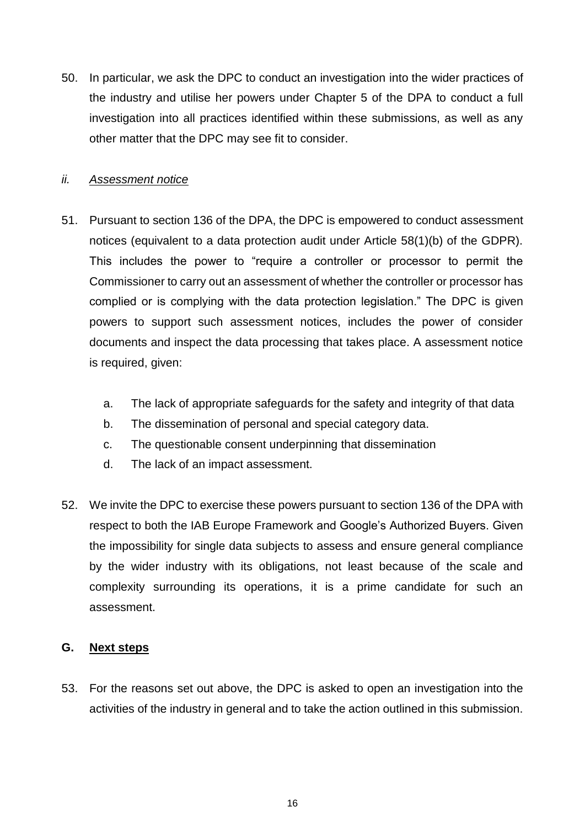50. In particular, we ask the DPC to conduct an investigation into the wider practices of the industry and utilise her powers under Chapter 5 of the DPA to conduct a full investigation into all practices identified within these submissions, as well as any other matter that the DPC may see fit to consider.

#### *ii. Assessment notice*

- 51. Pursuant to section 136 of the DPA, the DPC is empowered to conduct assessment notices (equivalent to a data protection audit under Article 58(1)(b) of the GDPR). This includes the power to "require a controller or processor to permit the Commissioner to carry out an assessment of whether the controller or processor has complied or is complying with the data protection legislation." The DPC is given powers to support such assessment notices, includes the power of consider documents and inspect the data processing that takes place. A assessment notice is required, given:
	- a. The lack of appropriate safeguards for the safety and integrity of that data
	- b. The dissemination of personal and special category data.
	- c. The questionable consent underpinning that dissemination
	- d. The lack of an impact assessment.
- 52. We invite the DPC to exercise these powers pursuant to section 136 of the DPA with respect to both the IAB Europe Framework and Google's Authorized Buyers. Given the impossibility for single data subjects to assess and ensure general compliance by the wider industry with its obligations, not least because of the scale and complexity surrounding its operations, it is a prime candidate for such an assessment.

#### **G. Next steps**

53. For the reasons set out above, the DPC is asked to open an investigation into the activities of the industry in general and to take the action outlined in this submission.